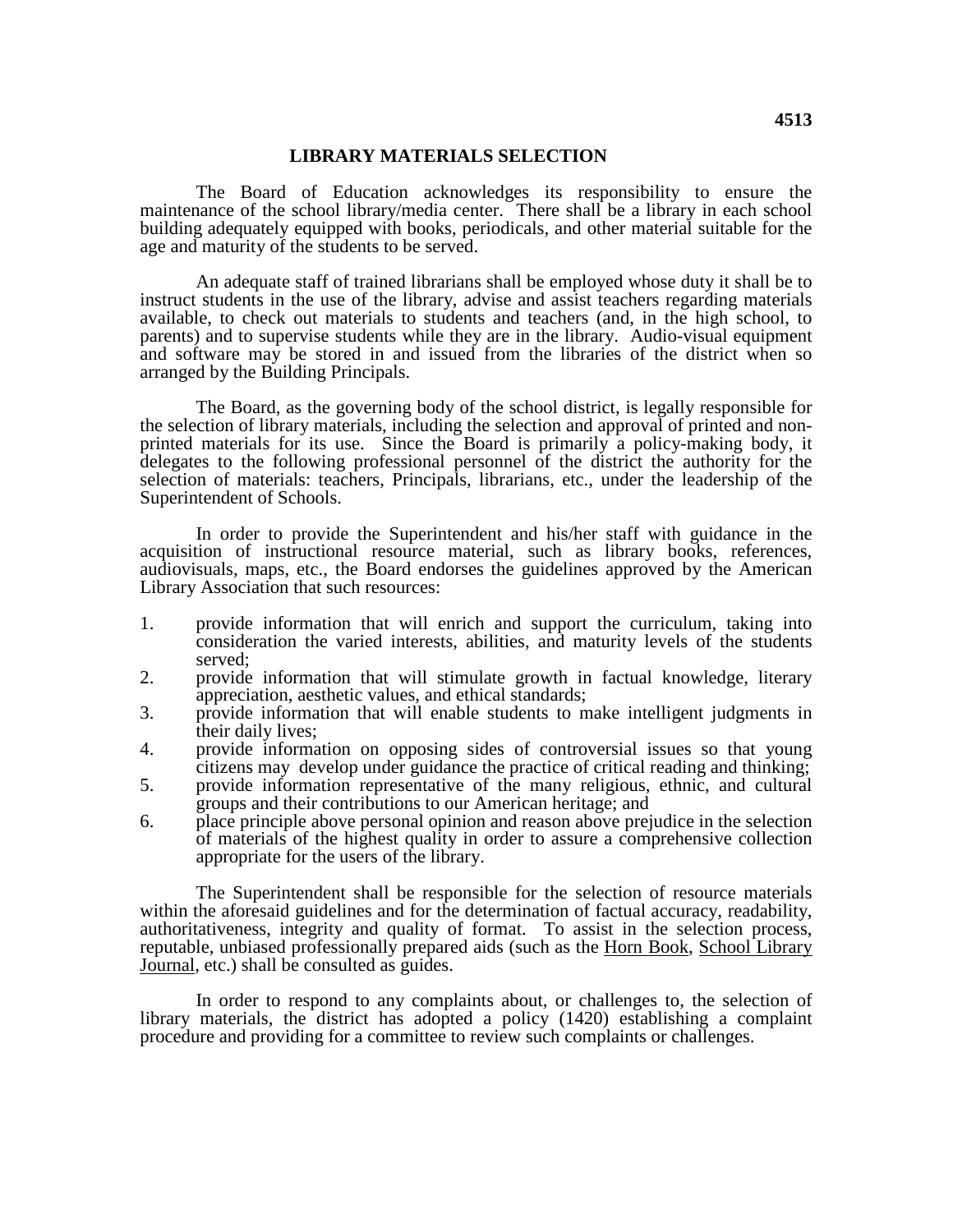## **LIBRARY MATERIALS SELECTION**

The Board of Education acknowledges its responsibility to ensure the maintenance of the school library/media center. There shall be a library in each school building adequately equipped with books, periodicals, and other material suitable for the age and maturity of the students to be served.

An adequate staff of trained librarians shall be employed whose duty it shall be to instruct students in the use of the library, advise and assist teachers regarding materials available, to check out materials to students and teachers (and, in the high school, to parents) and to supervise students while they are in the library. Audio-visual equipment and software may be stored in and issued from the libraries of the district when so arranged by the Building Principals.

The Board, as the governing body of the school district, is legally responsible for the selection of library materials, including the selection and approval of printed and nonprinted materials for its use. Since the Board is primarily a policy-making body, it delegates to the following professional personnel of the district the authority for the selection of materials: teachers, Principals, librarians, etc., under the leadership of the Superintendent of Schools.

In order to provide the Superintendent and his/her staff with guidance in the acquisition of instructional resource material, such as library books, references, audiovisuals, maps, etc., the Board endorses the guidelines approved by the American Library Association that such resources:

- 1. provide information that will enrich and support the curriculum, taking into consideration the varied interests, abilities, and maturity levels of the students served;
- 2. provide information that will stimulate growth in factual knowledge, literary appreciation, aesthetic values, and ethical standards;
- 3. provide information that will enable students to make intelligent judgments in their daily lives;
- 4. provide information on opposing sides of controversial issues so that young citizens may develop under guidance the practice of critical reading and thinking;
- 5. provide information representative of the many religious, ethnic, and cultural groups and their contributions to our American heritage; and
- 6. place principle above personal opinion and reason above prejudice in the selection of materials of the highest quality in order to assure a comprehensive collection appropriate for the users of the library.

The Superintendent shall be responsible for the selection of resource materials within the aforesaid guidelines and for the determination of factual accuracy, readability, which the arolessare gardennes and for the determination of factual decaracy; reducibility, authoritativeness, integrity and quality of format. To assist in the selection process, reputable, unbiased professionally prepared aids (such as the Horn Book, School Library Journal, etc.) shall be consulted as guides.

In order to respond to any complaints about, or challenges to, the selection of library materials, the district has adopted a policy (1420) establishing a complaint procedure and providing for a committee to review such complaints or challenges.